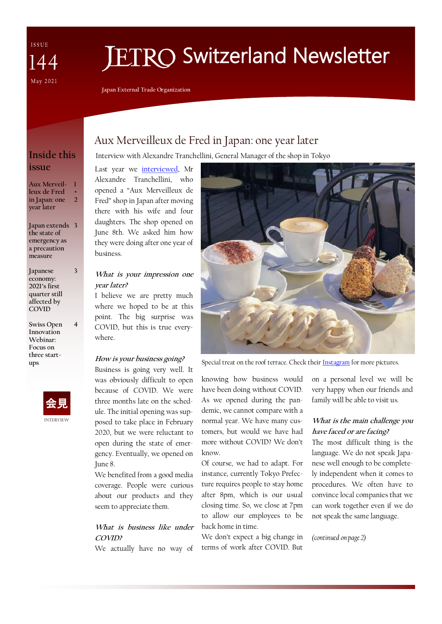ISSUE  $\Delta\varDelta$ May 2021

# **ETRO Switzerland Newsletter**

**Japan External Trade Organization**

# Aux Merveilleux de Fred in Japan: one year later

### **Inside this issue**

**Aux Merveil-1 leux de Fred in Japan: one year later + 2**

**Japan extends 3 the state of emergency as a precaution measure**

**3**

**4**

- **Japanese economy: 2021's first quarter still affected by COVID**
- **Swiss Open Innovation Webinar: Focus on three startups**



# Interview with Alexandre Tranchellini, General Manager of the shop in Tokyo

Last year we [interviewed,](https://www.jetro.go.jp/ext_images/switzerland/newsletter/Newsletter_2020/newsletter136.pdf) Mr Alexandre Tranchellini, who opened a "Aux Merveilleux de Fred" shop in Japan after moving there with his wife and four daughters. The shop opened on June 8th. We asked him how they were doing after one year of business.

#### **What is your impression one year later?**

I believe we are pretty much where we hoped to be at this point. The big surprise was COVID, but this is true everywhere.

#### **How is your business going?**

Business is going very well. It was obviously difficult to open because of COVID. We were three months late on the schedule. The initial opening was supposed to take place in February 2020, but we were reluctant to open during the state of emergency. Eventually, we opened on June 8.

We benefited from a good media coverage. People were curious about our products and they seem to appreciate them.

#### **What is business like under COVID?**

We actually have no way of



Special treat on the roof terrace. Check their [Instagram](https://www.instagram.com/auxmerveilleuxdefredtokyo/?hl=fr) for more pictures.

knowing how business would have been doing without COVID. As we opened during the pandemic, we cannot compare with a normal year. We have many customers, but would we have had more without COVID? We don't know.

Of course, we had to adapt. For instance, currently Tokyo Prefecture requires people to stay home after 8pm, which is our usual closing time. So, we close at 7pm to allow our employees to be back home in time.

We don't expect a big change in terms of work after COVID. But on a personal level we will be very happy when our friends and family will be able to visit us.

#### **What is the main challenge you have faced or are facing?**

The most difficult thing is the language. We do not speak Japanese well enough to be completely independent when it comes to procedures. We often have to convince local companies that we can work together even if we do not speak the same language.

*(continued on page 2)*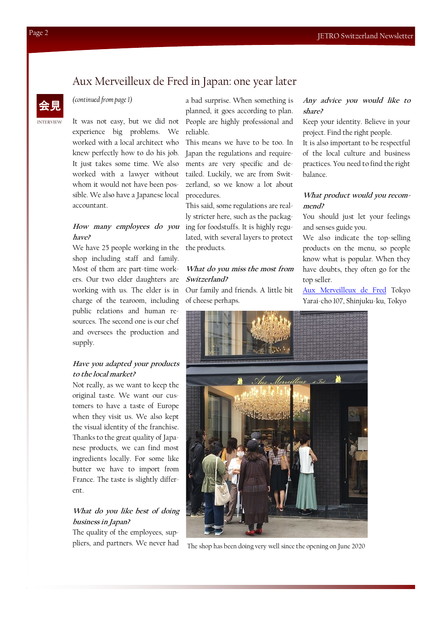### Aux Merveilleux de Fred in Japan: one year later

#### 会見 *(continued from page 1)*

experience big problems. We worked with a local architect who knew perfectly how to do his job. It just takes some time. We also whom it would not have been possible. We also have a Japanese local accountant.

# **have?**

We have 25 people working in the the products. shop including staff and family. Most of them are part-time workers. Our two elder daughters are working with us. The elder is in charge of the tearoom, including public relations and human resources. The second one is our chef and oversees the production and supply.

#### **Have you adapted your products to the local market?**

Not really, as we want to keep the original taste. We want our customers to have a taste of Europe when they visit us. We also kept the visual identity of the franchise. Thanks to the great quality of Japanese products, we can find most ingredients locally. For some like butter we have to import from France. The taste is slightly different.

#### **What do you like best of doing business in Japan?**

The quality of the employees, suppliers, and partners. We never had

It was not easy, but we did not People are highly professional and a bad surprise. When something is planned, it goes according to plan. reliable.

worked with a lawyer without tailed. Luckily, we are from Swit-This means we have to be too. In Japan the regulations and requirements are very specific and dezerland, so we know a lot about procedures.

**How many employees do you**  ing for foodstuffs. It is highly regu-This said, some regulations are really stricter here, such as the packaglated, with several layers to protect

#### **What do you miss the most from Switzerland?**

Our family and friends. A little bit of cheese perhaps.

#### **Any advice you would like to share?**

Keep your identity. Believe in your project. Find the right people.

It is also important to be respectful of the local culture and business practices. You need to find the right balance.

#### **What product would you recommend?**

You should just let your feelings and senses guide you.

We also indicate the top-selling products on the menu, so people know what is popular. When they have doubts, they often go for the top seller.

[Aux Merveilleux de Fred](http://www.auxmerveilleux.com/home_en/) Tokyo Yarai-cho 107, Shinjuku-ku, Tokyo



The shop has been doing very well since the opening on June 2020

INTERVIEW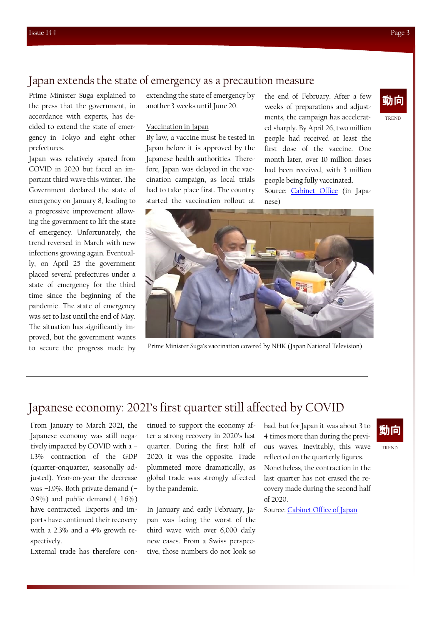### Japan extends the state of emergency as a precaution measure

Prime Minister Suga explained to the press that the government, in accordance with experts, has decided to extend the state of emergency in Tokyo and eight other prefectures.

Japan was relatively spared from COVID in 2020 but faced an important third wave this winter. The Government declared the state of emergency on January 8, leading to a progressive improvement allowing the government to lift the state of emergency. Unfortunately, the trend reversed in March with new infections growing again. Eventually, on April 25 the government placed several prefectures under a state of emergency for the third time since the beginning of the pandemic. The state of emergency was set to last until the end of May. The situation has significantly improved, but the government wants

extending the state of emergency by the end of February. After a few **動向** another 3 weeks until June 20.

#### Vaccination in Japan

By law, a vaccine must be tested in Japan before it is approved by the Japanese health authorities. Therefore, Japan was delayed in the vaccination campaign, as local trials had to take place first. The country started the vaccination rollout at

weeks of preparations and adjustments, the campaign has accelerated sharply. By April 26, two million people had received at least the first dose of the vaccine. One month later, over 10 million doses had been received, with 3 million people being fully vaccinated. Source: [Cabinet Office](https://www.kantei.go.jp/jp/99_suga/statement/2021/0528kaiken.html) (in Japanese)





to secure the progress made by Prime Minister Suga's vaccination covered by NHK (Japan National Television)

# Japanese economy: 2021's first quarter still affected by COVID

From January to March 2021, the Japanese economy was still negatively impacted by COVID with a – 1.3% contraction of the GDP (quarter-onquarter, seasonally adjusted). Year-on-year the decrease was –1.9%. Both private demand (– 0.9%) and public demand  $(-1.6\%)$ have contracted. Exports and imports have continued their recovery with a 2.3% and a 4% growth respectively.

External trade has therefore con-

tinued to support the economy after a strong recovery in 2020's last quarter. During the first half of 2020, it was the opposite. Trade plummeted more dramatically, as global trade was strongly affected by the pandemic.

In January and early February, Japan was facing the worst of the third wave with over 6,000 daily new cases. From a Swiss perspective, those numbers do not look so bad, but for Japan it was about 3 to 4 times more than during the previous waves. Inevitably, this wave reflected on the quarterly figures. Nonetheless, the contraction in the last quarter has not erased the recovery made during the second half of 2020.

Source: [Cabinet Office of Japan](https://www.esri.cao.go.jp/en/sna/data/sokuhou/files/2021/qe211/gdemenuea.html)

# 動向

TREND